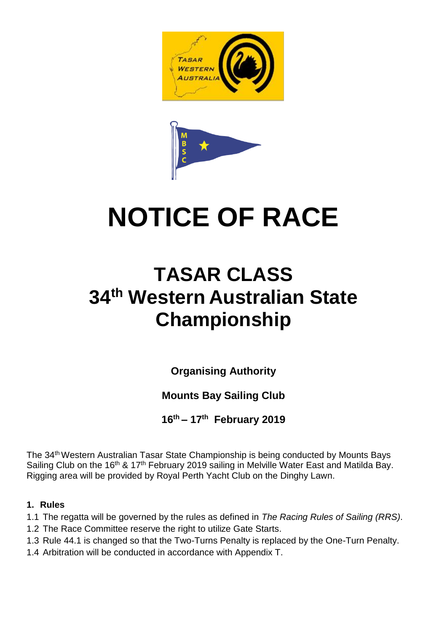

# **NOTICE OF RACE**

## **TASAR CLASS 34 th Western Australian State Championship**

**Organising Authority**

### **Mounts Bay Sailing Club**

**16th – 17th February 2019**

The 34<sup>th</sup> Western Australian Tasar State Championship is being conducted by Mounts Bays Sailing Club on the 16<sup>th</sup> & 17<sup>th</sup> February 2019 sailing in Melville Water East and Matilda Bay. Rigging area will be provided by Royal Perth Yacht Club on the Dinghy Lawn.

#### **1. Rules**

1.1 The regatta will be governed by the rules as defined in *The Racing Rules of Sailing (RRS)*.

- 1.2 The Race Committee reserve the right to utilize Gate Starts.
- 1.3 Rule 44.1 is changed so that the Two-Turns Penalty is replaced by the One-Turn Penalty.
- 1.4 Arbitration will be conducted in accordance with Appendix T.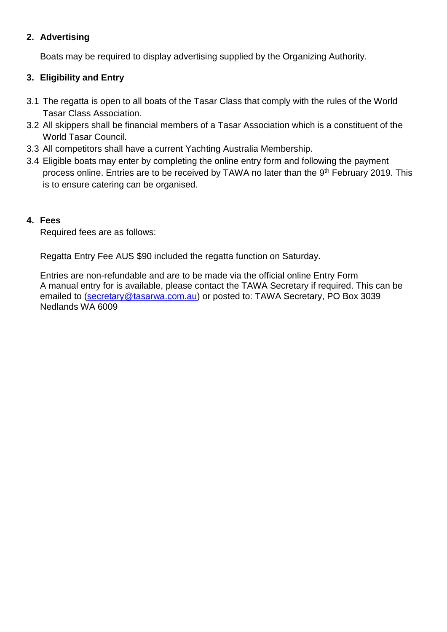#### **2. Advertising**

Boats may be required to display advertising supplied by the Organizing Authority.

#### **3. Eligibility and Entry**

- 3.1 The regatta is open to all boats of the Tasar Class that comply with the rules of the World Tasar Class Association.
- 3.2 All skippers shall be financial members of a Tasar Association which is a constituent of the World Tasar Council.
- 3.3 All competitors shall have a current Yachting Australia Membership.
- 3.4 Eligible boats may enter by completing the online entry form and following the payment process online. Entries are to be received by TAWA no later than the 9<sup>th</sup> February 2019. This is to ensure catering can be organised.

#### **4. Fees**

Required fees are as follows:

Regatta Entry Fee AUS \$90 included the regatta function on Saturday.

Entries are non-refundable and are to be made via the official online Entry Form A manual entry for is available, please contact the TAWA Secretary if required. This can be emailed to [\(secretary@tasarwa.com.au\)](mailto:secretary@tasarwa.com.au) or posted to: TAWA Secretary, PO Box 3039 Nedlands WA 6009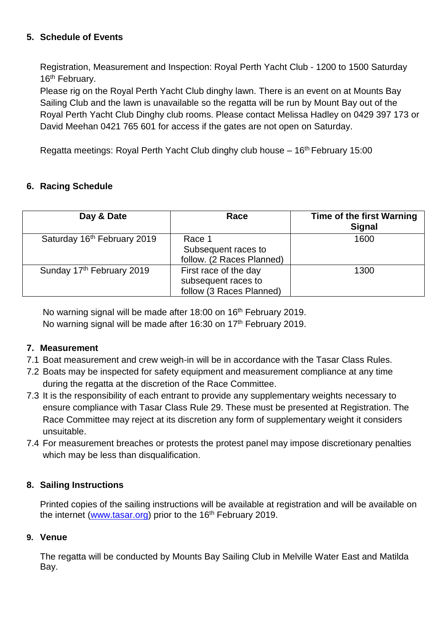#### **5. Schedule of Events**

Registration, Measurement and Inspection: Royal Perth Yacht Club - 1200 to 1500 Saturday 16<sup>th</sup> February.

Please rig on the Royal Perth Yacht Club dinghy lawn. There is an event on at Mounts Bay Sailing Club and the lawn is unavailable so the regatta will be run by Mount Bay out of the Royal Perth Yacht Club Dinghy club rooms. Please contact Melissa Hadley on 0429 397 173 or David Meehan 0421 765 601 for access if the gates are not open on Saturday.

Regatta meetings: Royal Perth Yacht Club dinghy club house – 16<sup>th</sup> February 15:00

#### **6. Racing Schedule**

| Day & Date                  | Race                                                                     | <b>Time of the first Warning</b><br><b>Signal</b> |
|-----------------------------|--------------------------------------------------------------------------|---------------------------------------------------|
| Saturday 16th February 2019 | Race 1<br>Subsequent races to<br>follow. (2 Races Planned)               | 1600                                              |
| Sunday 17th February 2019   | First race of the day<br>subsequent races to<br>follow (3 Races Planned) | 1300                                              |

No warning signal will be made after 18:00 on 16<sup>th</sup> February 2019. No warning signal will be made after 16:30 on 17<sup>th</sup> February 2019.

#### **7. Measurement**

- 7.1 Boat measurement and crew weigh-in will be in accordance with the Tasar Class Rules.
- 7.2 Boats may be inspected for safety equipment and measurement compliance at any time during the regatta at the discretion of the Race Committee.
- 7.3 It is the responsibility of each entrant to provide any supplementary weights necessary to ensure compliance with Tasar Class Rule 29. These must be presented at Registration. The Race Committee may reject at its discretion any form of supplementary weight it considers unsuitable.
- 7.4 For measurement breaches or protests the protest panel may impose discretionary penalties which may be less than disqualification.

#### **8. Sailing Instructions**

Printed copies of the sailing instructions will be available at registration and will be available on the internet [\(www.tasar.org\)](http://www.tasar.org/) prior to the 16<sup>th</sup> February 2019.

#### **9. Venue**

The regatta will be conducted by Mounts Bay Sailing Club in Melville Water East and Matilda Bay.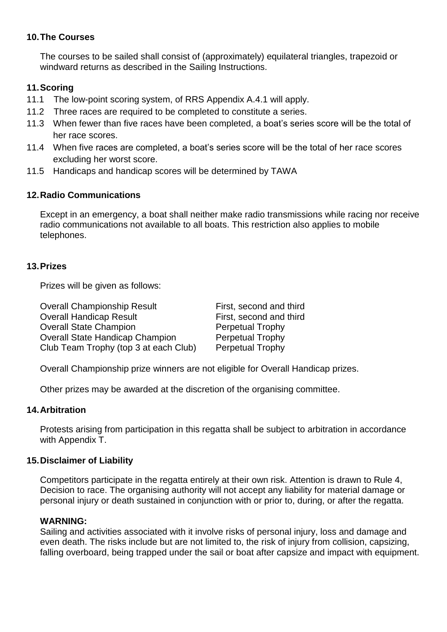#### **10.The Courses**

The courses to be sailed shall consist of (approximately) equilateral triangles, trapezoid or windward returns as described in the Sailing Instructions.

#### **11.Scoring**

- 11.1 The low-point scoring system, of RRS Appendix A.4.1 will apply.
- 11.2 Three races are required to be completed to constitute a series.
- 11.3 When fewer than five races have been completed, a boat's series score will be the total of her race scores.
- 11.4 When five races are completed, a boat's series score will be the total of her race scores excluding her worst score.
- 11.5 Handicaps and handicap scores will be determined by TAWA

#### **12.Radio Communications**

Except in an emergency, a boat shall neither make radio transmissions while racing nor receive radio communications not available to all boats. This restriction also applies to mobile telephones.

#### **13.Prizes**

Prizes will be given as follows:

| <b>Overall Championship Result</b>     | First, second and third |
|----------------------------------------|-------------------------|
| <b>Overall Handicap Result</b>         | First, second and third |
| <b>Overall State Champion</b>          | <b>Perpetual Trophy</b> |
| <b>Overall State Handicap Champion</b> | <b>Perpetual Trophy</b> |
| Club Team Trophy (top 3 at each Club)  | <b>Perpetual Trophy</b> |

Overall Championship prize winners are not eligible for Overall Handicap prizes.

Other prizes may be awarded at the discretion of the organising committee.

#### **14.Arbitration**

Protests arising from participation in this regatta shall be subject to arbitration in accordance with Appendix T.

#### **15.Disclaimer of Liability**

Competitors participate in the regatta entirely at their own risk. Attention is drawn to Rule 4, Decision to race. The organising authority will not accept any liability for material damage or personal injury or death sustained in conjunction with or prior to, during, or after the regatta.

#### **WARNING:**

Sailing and activities associated with it involve risks of personal injury, loss and damage and even death. The risks include but are not limited to, the risk of injury from collision, capsizing, falling overboard, being trapped under the sail or boat after capsize and impact with equipment.